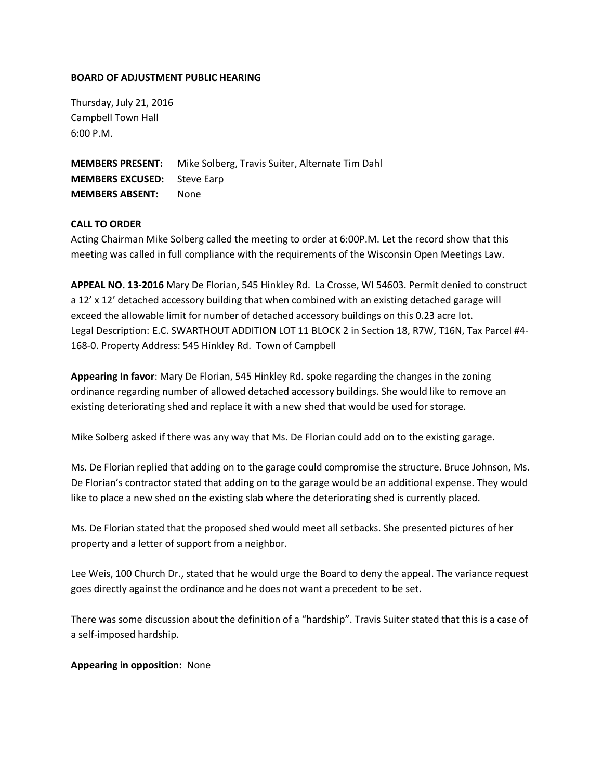## **BOARD OF ADJUSTMENT PUBLIC HEARING**

Thursday, July 21, 2016 Campbell Town Hall 6:00 P.M.

**MEMBERS PRESENT:** Mike Solberg, Travis Suiter, Alternate Tim Dahl **MEMBERS EXCUSED:** Steve Earp **MEMBERS ABSENT:** None

## **CALL TO ORDER**

Acting Chairman Mike Solberg called the meeting to order at 6:00P.M. Let the record show that this meeting was called in full compliance with the requirements of the Wisconsin Open Meetings Law.

**APPEAL NO. 13-2016** Mary De Florian, 545 Hinkley Rd. La Crosse, WI 54603. Permit denied to construct a 12' x 12' detached accessory building that when combined with an existing detached garage will exceed the allowable limit for number of detached accessory buildings on this 0.23 acre lot. Legal Description: E.C. SWARTHOUT ADDITION LOT 11 BLOCK 2 in Section 18, R7W, T16N, Tax Parcel #4- 168-0. Property Address: 545 Hinkley Rd. Town of Campbell

**Appearing In favor**: Mary De Florian, 545 Hinkley Rd. spoke regarding the changes in the zoning ordinance regarding number of allowed detached accessory buildings. She would like to remove an existing deteriorating shed and replace it with a new shed that would be used for storage.

Mike Solberg asked if there was any way that Ms. De Florian could add on to the existing garage.

Ms. De Florian replied that adding on to the garage could compromise the structure. Bruce Johnson, Ms. De Florian's contractor stated that adding on to the garage would be an additional expense. They would like to place a new shed on the existing slab where the deteriorating shed is currently placed.

Ms. De Florian stated that the proposed shed would meet all setbacks. She presented pictures of her property and a letter of support from a neighbor.

Lee Weis, 100 Church Dr., stated that he would urge the Board to deny the appeal. The variance request goes directly against the ordinance and he does not want a precedent to be set.

There was some discussion about the definition of a "hardship". Travis Suiter stated that this is a case of a self-imposed hardship.

## **Appearing in opposition:** None